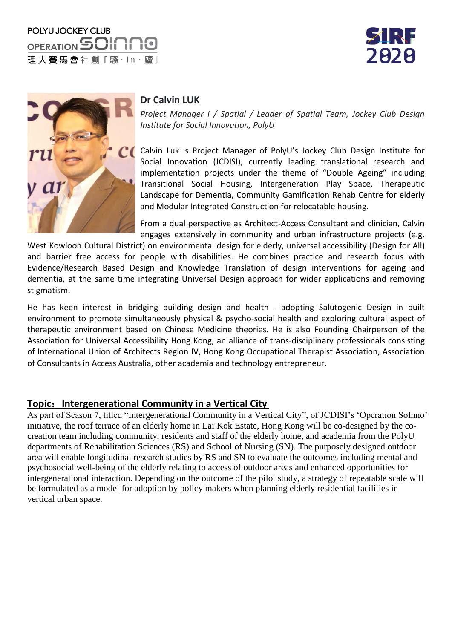





## **Dr Calvin LUK**

*Project Manager I / Spatial / Leader of Spatial Team, Jockey Club Design Institute for Social Innovation, PolyU*

Calvin Luk is Project Manager of PolyU's Jockey Club Design Institute for Social Innovation (JCDISI), currently leading translational research and implementation projects under the theme of "Double Ageing" including Transitional Social Housing, Intergeneration Play Space, Therapeutic Landscape for Dementia, Community Gamification Rehab Centre for elderly and Modular Integrated Construction for relocatable housing.

From a dual perspective as Architect-Access Consultant and clinician, Calvin engages extensively in community and urban infrastructure projects (e.g.

West Kowloon Cultural District) on environmental design for elderly, universal accessibility (Design for All) and barrier free access for people with disabilities. He combines practice and research focus with Evidence/Research Based Design and Knowledge Translation of design interventions for ageing and dementia, at the same time integrating Universal Design approach for wider applications and removing stigmatism.

He has keen interest in bridging building design and health - adopting Salutogenic Design in built environment to promote simultaneously physical & psycho-social health and exploring cultural aspect of therapeutic environment based on Chinese Medicine theories. He is also Founding Chairperson of the Association for Universal Accessibility Hong Kong, an alliance of trans-disciplinary professionals consisting of International Union of Architects Region IV, Hong Kong Occupational Therapist Association, Association of Consultants in Access Australia, other academia and technology entrepreneur.

## **Topic**:**Intergenerational Community in a Vertical City**

As part of Season 7, titled "Intergenerational Community in a Vertical City", of JCDISI's 'Operation SoInno' initiative, the roof terrace of an elderly home in Lai Kok Estate, Hong Kong will be co-designed by the cocreation team including community, residents and staff of the elderly home, and academia from the PolyU departments of Rehabilitation Sciences (RS) and School of Nursing (SN). The purposely designed outdoor area will enable longitudinal research studies by RS and SN to evaluate the outcomes including mental and psychosocial well-being of the elderly relating to access of outdoor areas and enhanced opportunities for intergenerational interaction. Depending on the outcome of the pilot study, a strategy of repeatable scale will be formulated as a model for adoption by policy makers when planning elderly residential facilities in vertical urban space.